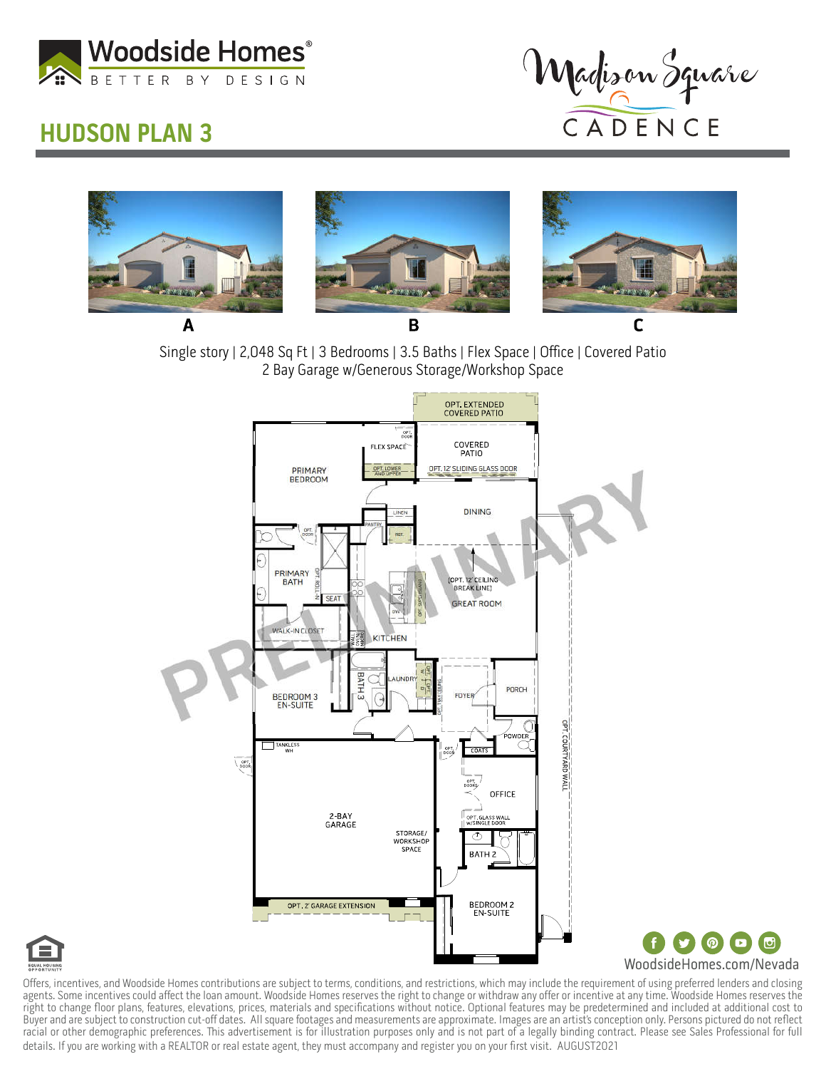

## HUDSON PLAN 3



(ட

 $\bigcirc$   $\bigcirc$ 



Single story | 2,048 Sq Ft | 3 Bedrooms | 3.5 Baths | Flex Space | Office | Covered Patio 2 Bay Garage w/Generous Storage/Workshop Space





Offers, incentives, and Woodside Homes contributions are subject to terms, conditions, and restrictions, which may include the requirement of using preferred lenders and closing agents. Some incentives could affect the loan amount. Woodside Homes reserves the right to change or withdraw any offer or incentive at any time. Woodside Homes reserves the right to change floor plans, features, elevations, prices, materials and specifications without notice. Optional features may be predetermined and included at additional cost to Buyer and are subject to construction cut-off dates. All square footages and measurements are approximate. Images are an artist's conception only. Persons pictured do not reflect racial or other demographic preferences. This advertisement is for illustration purposes only and is not part of a legally binding contract. Please see Sales Professional for full details. If you are working with a REALTOR or real estate agent, they must accompany and register you on your first visit. AUGUST2021